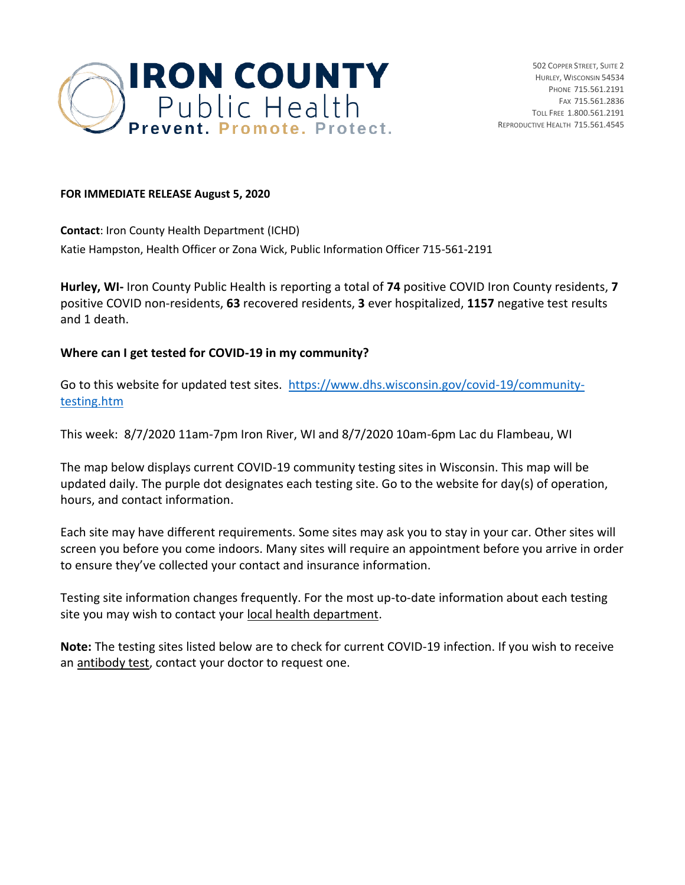

## **FOR IMMEDIATE RELEASE August 5, 2020**

**Contact**: Iron County Health Department (ICHD) Katie Hampston, Health Officer or Zona Wick, Public Information Officer 715-561-2191

**Hurley, WI-** Iron County Public Health is reporting a total of **74** positive COVID Iron County residents, **7** positive COVID non-residents, **63** recovered residents, **3** ever hospitalized, **1157** negative test results and 1 death.

## **Where can I get tested for COVID-19 in my community?**

Go to this website for updated test sites. [https://www.dhs.wisconsin.gov/covid-19/community](https://www.dhs.wisconsin.gov/covid-19/community-testing.htm)[testing.htm](https://www.dhs.wisconsin.gov/covid-19/community-testing.htm)

This week: 8/7/2020 11am-7pm Iron River, WI and 8/7/2020 10am-6pm Lac du Flambeau, WI

The map below displays current COVID-19 community testing sites in Wisconsin. This map will be updated daily. The purple dot designates each testing site. Go to the website for day(s) of operation, hours, and contact information.

Each site may have different requirements. Some sites may ask you to stay in your car. Other sites will screen you before you come indoors. Many sites will require an appointment before you arrive in order to ensure they've collected your contact and insurance information.

Testing site information changes frequently. For the most up-to-date information about each testing site you may wish to contact you[r local health department.](https://www.dhs.wisconsin.gov/lh-depts/counties.htm)

**Note:** The testing sites listed below are to check for current COVID-19 infection. If you wish to receive an [antibody test,](https://www.dhs.wisconsin.gov/covid-19/testing.htm) contact your doctor to request one.